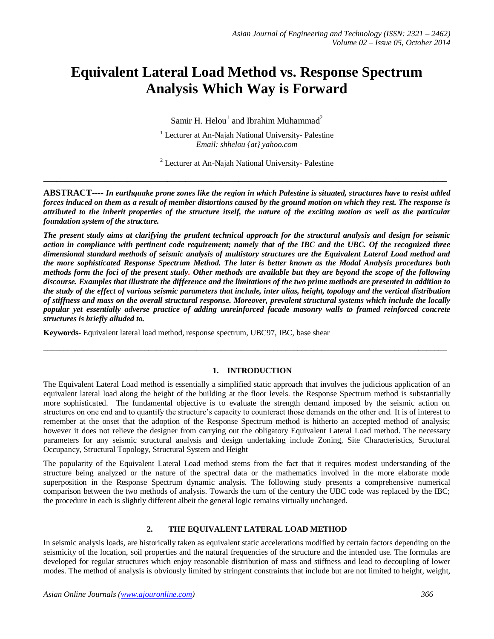# **Equivalent Lateral Load Method vs. Response Spectrum Analysis Which Way is Forward**

Samir H. Helou<sup>1</sup> and Ibrahim Muhammad<sup>2</sup>

<sup>1</sup> Lecturer at An-Najah National University- Palestine *Email: shhelou {at} yahoo.com*

<sup>2</sup> Lecturer at An-Najah National University- Palestine **\_\_\_\_\_\_\_\_\_\_\_\_\_\_\_\_\_\_\_\_\_\_\_\_\_\_\_\_\_\_\_\_\_\_\_\_\_\_\_\_\_\_\_\_\_\_\_\_\_\_\_\_\_\_\_\_\_\_\_\_\_\_\_\_\_\_\_\_\_\_\_\_\_\_\_\_\_\_\_\_\_\_\_\_\_\_\_\_\_\_\_**

**ABSTRACT----** *In earthquake prone zones like the region in which Palestine is situated, structures have to resist added forces induced on them as a result of member distortions caused by the ground motion on which they rest. The response is attributed to the inherit properties of the structure itself, the nature of the exciting motion as well as the particular foundation system of the structure.*

*The present study aims at clarifying the prudent technical approach for the structural analysis and design for seismic action in compliance with pertinent code requirement; namely that of the IBC and the UBC. Of the recognized three dimensional standard methods of seismic analysis of multistory structures are the Equivalent Lateral Load method and the more sophisticated Response Spectrum Method. The later is better known as the Modal Analysis procedures both methods form the foci of the present study. Other methods are available but they are beyond the scope of the following discourse. Examples that illustrate the difference and the limitations of the two prime methods are presented in addition to the study of the effect of various seismic parameters that include, inter alias, height, topology and the vertical distribution of stiffness and mass on the overall structural response. Moreover, prevalent structural systems which include the locally popular yet essentially adverse practice of adding unreinforced facade masonry walls to framed reinforced concrete structures is briefly alluded to.*

**Keywords**- Equivalent lateral load method, response spectrum, UBC97, IBC, base shear

### **1. INTRODUCTION**

\_\_\_\_\_\_\_\_\_\_\_\_\_\_\_\_\_\_\_\_\_\_\_\_\_\_\_\_\_\_\_\_\_\_\_\_\_\_\_\_\_\_\_\_\_\_\_\_\_\_\_\_\_\_\_\_\_\_\_\_\_\_\_\_\_\_\_\_\_\_\_\_\_\_\_\_\_\_\_\_\_\_\_\_\_\_\_\_\_\_\_\_\_\_\_\_\_\_\_\_

The Equivalent Lateral Load method is essentially a simplified static approach that involves the judicious application of an equivalent lateral load along the height of the building at the floor levels. the Response Spectrum method is substantially more sophisticated. The fundamental objective is to evaluate the strength demand imposed by the seismic action on structures on one end and to quantify the structure's capacity to counteract those demands on the other end. It is of interest to remember at the onset that the adoption of the Response Spectrum method is hitherto an accepted method of analysis; however it does not relieve the designer from carrying out the obligatory Equivalent Lateral Load method. The necessary parameters for any seismic structural analysis and design undertaking include Zoning, Site Characteristics, Structural Occupancy, Structural Topology, Structural System and Height

The popularity of the Equivalent Lateral Load method stems from the fact that it requires modest understanding of the structure being analyzed or the nature of the spectral data or the mathematics involved in the more elaborate mode superposition in the Response Spectrum dynamic analysis. The following study presents a comprehensive numerical comparison between the two methods of analysis. Towards the turn of the century the UBC code was replaced by the IBC; the procedure in each is slightly different albeit the general logic remains virtually unchanged.

### **2. THE EQUIVALENT LATERAL LOAD METHOD**

In seismic analysis loads, are historically taken as equivalent static accelerations modified by certain factors depending on the seismicity of the location, soil properties and the natural frequencies of the structure and the intended use. The formulas are developed for regular structures which enjoy reasonable distribution of mass and stiffness and lead to decoupling of lower modes. The method of analysis is obviously limited by stringent constraints that include but are not limited to height, weight,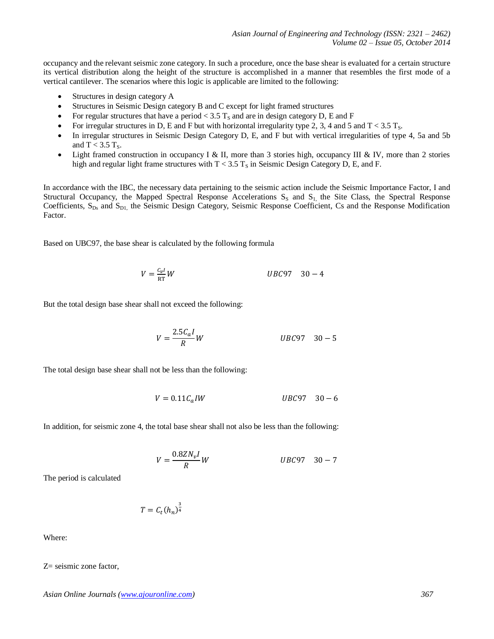occupancy and the relevant seismic zone category. In such a procedure, once the base shear is evaluated for a certain structure its vertical distribution along the height of the structure is accomplished in a manner that resembles the first mode of a vertical cantilever. The scenarios where this logic is applicable are limited to the following:

- Structures in design category A
- Structures in Seismic Design category B and C except for light framed structures
- For regular structures that have a period  $<$  3.5 T<sub>s</sub> and are in design category D, E and F
- For irregular structures in D, E and F but with horizontal irregularity type 2, 3, 4 and 5 and T < 3.5 T<sub>S</sub>.
- In irregular structures in Seismic Design Category D, E, and F but with vertical irregularities of type 4, 5a and 5b and  $T < 3.5$  T<sub>s</sub>.
- Light framed construction in occupancy I & II, more than 3 stories high, occupancy III & IV, more than 2 stories high and regular light frame structures with  $T < 3.5$  T<sub>s</sub> in Seismic Design Category D, E, and F.

In accordance with the IBC, the necessary data pertaining to the seismic action include the Seismic Importance Factor, I and Structural Occupancy, the Mapped Spectral Response Accelerations  $S_S$  and  $S<sub>1</sub>$ , the Site Class, the Spectral Response Coefficients,  $S_{Ds}$  and  $S_{D1}$ , the Seismic Design Category, Seismic Response Coefficient, Cs and the Response Modification Factor.

Based on UBC97, the base shear is calculated by the following formula

$$
V = \frac{c_v I}{RT} W \qquad UBC97 \quad 30 - 4
$$

But the total design base shear shall not exceed the following:

$$
V = \frac{2.5C_aI}{R}W
$$
 *UBC97* 30 - 5

The total design base shear shall not be less than the following:

$$
V = 0.11C_a I W \qquad \qquad UBC97 \quad 30-6
$$

In addition, for seismic zone 4, the total base shear shall not also be less than the following:

$$
V = \frac{0.8ZN_vI}{R}W
$$
 *UBC97* 30 – 7

The period is calculated

$$
T = C_t(h_n)^{\frac{3}{4}}
$$

Where:

Z= seismic zone factor,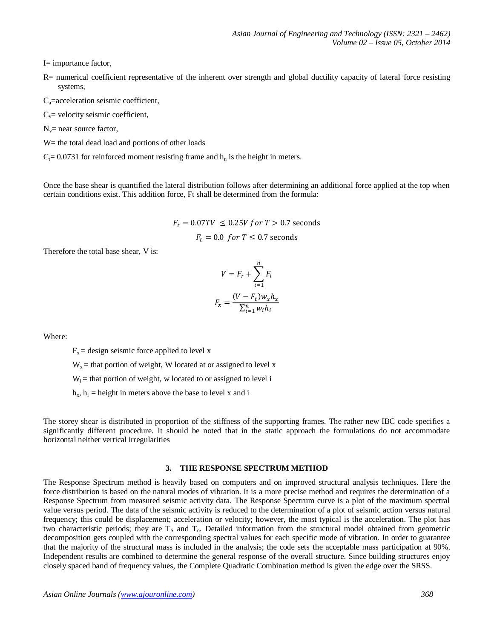I= importance factor,

- R= numerical coefficient representative of the inherent over strength and global ductility capacity of lateral force resisting systems,
- $C_a$ =acceleration seismic coefficient,
- $C_v$ = velocity seismic coefficient,
- $N_v$ = near source factor,
- W = the total dead load and portions of other loads
- $C_t$ = 0.0731 for reinforced moment resisting frame and  $h_n$  is the height in meters.

Once the base shear is quantified the lateral distribution follows after determining an additional force applied at the top when certain conditions exist. This addition force, Ft shall be determined from the formula:

 $F_t = 0.07TV \le 0.25V$  for  $T > 0.7$  seconds

$$
F_t = 0.0
$$
 for  $T \le 0.7$  seconds

Therefore the total base shear, V is:

$$
V = F_t + \sum_{i=1}^{n} F_i
$$

$$
F_x = \frac{(V - F_t)w_x h_x}{\sum_{i=1}^{n} w_i h_i}
$$

Where:

 $F_x$  = design seismic force applied to level x

 $W_x$  = that portion of weight, W located at or assigned to level x

 $W_i$  = that portion of weight, w located to or assigned to level i

 $h_x$ ,  $h_i$  = height in meters above the base to level x and i

The storey shear is distributed in proportion of the stiffness of the supporting frames. The rather new IBC code specifies a significantly different procedure. It should be noted that in the static approach the formulations do not accommodate horizontal neither vertical irregularities

#### **3. THE RESPONSE SPECTRUM METHOD**

The Response Spectrum method is heavily based on computers and on improved structural analysis techniques. Here the force distribution is based on the natural modes of vibration. It is a more precise method and requires the determination of a Response Spectrum from measured seismic activity data. The Response Spectrum curve is a plot of the maximum spectral value versus period. The data of the seismic activity is reduced to the determination of a plot of seismic action versus natural frequency; this could be displacement; acceleration or velocity; however, the most typical is the acceleration. The plot has two characteristic periods; they are  $T_s$  and  $T_o$ . Detailed information from the structural model obtained from geometric decomposition gets coupled with the corresponding spectral values for each specific mode of vibration. In order to guarantee that the majority of the structural mass is included in the analysis; the code sets the acceptable mass participation at 90%. Independent results are combined to determine the general response of the overall structure. Since building structures enjoy closely spaced band of frequency values, the Complete Quadratic Combination method is given the edge over the SRSS.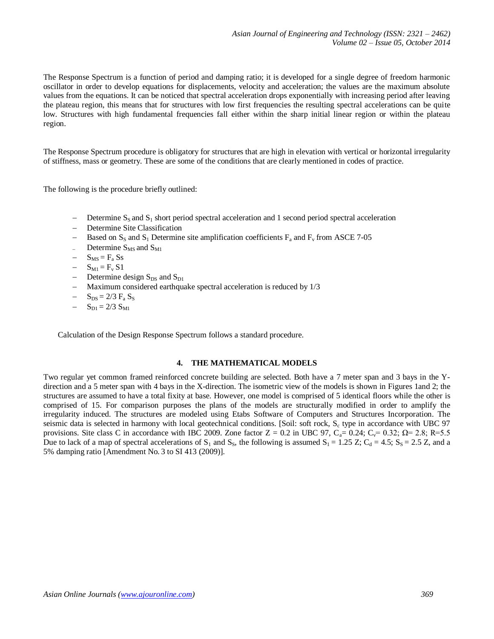The Response Spectrum is a function of period and damping ratio; it is developed for a single degree of freedom harmonic oscillator in order to develop equations for displacements, velocity and acceleration; the values are the maximum absolute values from the equations. It can be noticed that spectral acceleration drops exponentially with increasing period after leaving the plateau region, this means that for structures with low first frequencies the resulting spectral accelerations can be quite low. Structures with high fundamental frequencies fall either within the sharp initial linear region or within the plateau region.

The Response Spectrum procedure is obligatory for structures that are high in elevation with vertical or horizontal irregularity of stiffness, mass or geometry. These are some of the conditions that are clearly mentioned in codes of practice.

The following is the procedure briefly outlined:

- $\sim$  Determine S<sub>S</sub> and S<sub>1</sub> short period spectral acceleration and 1 second period spectral acceleration
- Determine Site Classification
- Based on  $S_S$  and  $S_1$  Determine site amplification coefficients  $F_a$  and  $F_v$  from ASCE 7-05
- $\sim$  Determine S<sub>MS</sub> and S<sub>M1</sub>
- $S_{MS} = F_a Ss$
- $-S_{M1} = F_v S1$
- Determine design  $S_{DS}$  and  $S_{D1}$
- Maximum considered earthquake spectral acceleration is reduced by  $1/3$
- $-S_{DS} = 2/3 F_a S_S$
- $-S_{\text{D1}} = 2/3 \text{ S}_{\text{M1}}$

Calculation of the Design Response Spectrum follows a standard procedure.

#### **4. THE MATHEMATICAL MODELS**

Two regular yet common framed reinforced concrete building are selected. Both have a 7 meter span and 3 bays in the Ydirection and a 5 meter span with 4 bays in the X-direction. The isometric view of the models is shown in Figures 1and 2; the structures are assumed to have a total fixity at base. However, one model is comprised of 5 identical floors while the other is comprised of 15. For comparison purposes the plans of the models are structurally modified in order to amplify the irregularity induced. The structures are modeled using Etabs Software of Computers and Structures Incorporation. The seismic data is selected in harmony with local geotechnical conditions. [Soil: soft rock, S<sub>c</sub> type in accordance with UBC 97 provisions. Site class C in accordance with IBC 2009. Zone factor  $Z = 0.2$  in UBC 97, C<sub>a</sub>= 0.24; C<sub>y</sub>= 0.32;  $\Omega$ = 2.8; R=5.5 Due to lack of a map of spectral accelerations of  $S_1$  and  $S_5$ , the following is assumed  $S_1 = 1.25$  Z;  $C_d = 4.5$ ;  $S_s = 2.5$  Z, and a 5% damping ratio [Amendment No. 3 to SI 413 (2009)].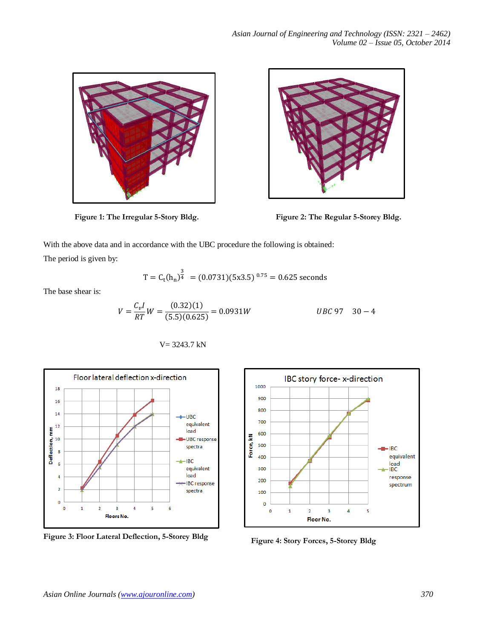



**Figure 1: The Irregular 5-Story Bldg. Figure 2: The Regular 5-Storey Bldg.**

With the above data and in accordance with the UBC procedure the following is obtained:

The period is given by:

$$
T = C_t(h_n)^{\frac{3}{4}}
$$
 = (0.0731)(5x3.5)<sup>0.75</sup> = 0.625 seconds

The base shear is:

 



V= 3243.7 kN

**Figure 3: Floor Lateral Deflection, 5-Storey Bldg Figure 4: Story Forces, 5-Storey Bldg**

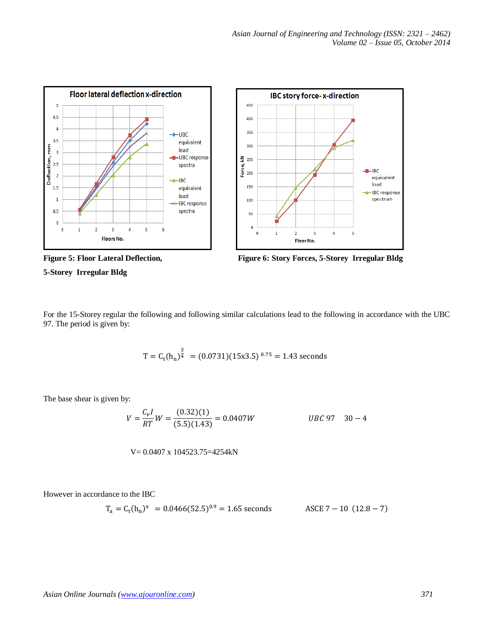

**5-Storey Irregular Bldg** 



For the 15-Storey regular the following and following similar calculations lead to the following in accordance with the UBC 97. The period is given by:

$$
T = C_t(h_n)^{\frac{3}{4}}
$$
 = (0.0731)(15x3.5)<sup>0.75</sup> = 1.43 seconds

The base shear is given by:

 

$$
V\!\!=0.0407\;x\;104523.75\!\!=\!\!4254kN
$$

However in accordance to the IBC

$$
T_a = C_t(h_n)^x = 0.0466(52.5)^{0.9} = 1.65
$$
 seconds  
ASCE 7 – 10 (12.8 – 7)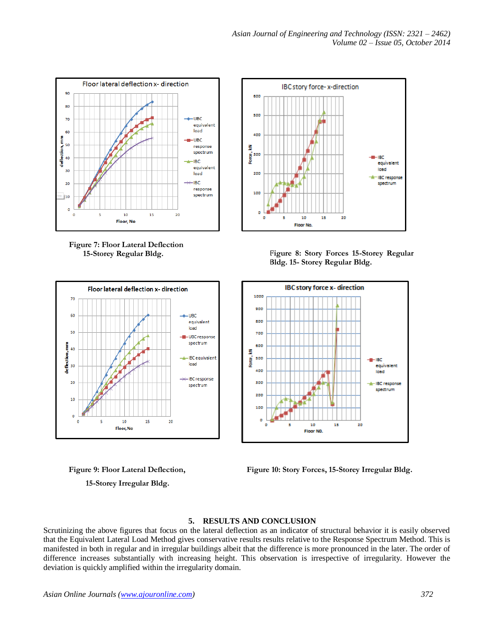

**Figure 7: Floor Lateral Deflection 15-Storey Regular Bldg.**



 **15-Storey Irregular Bldg.**



**Figure 8: Story Forces 15-Storey Regular Bldg. 15- Storey Regular Bldg.**



**Figure 9: Floor Lateral Deflection, Figure 10: Story Forces, 15-Storey Irregular Bldg.**

## **5. RESULTS AND CONCLUSION**

Scrutinizing the above figures that focus on the lateral deflection as an indicator of structural behavior it is easily observed that the Equivalent Lateral Load Method gives conservative results results relative to the Response Spectrum Method. This is manifested in both in regular and in irregular buildings albeit that the difference is more pronounced in the later. The order of difference increases substantially with increasing height. This observation is irrespective of irregularity. However the deviation is quickly amplified within the irregularity domain.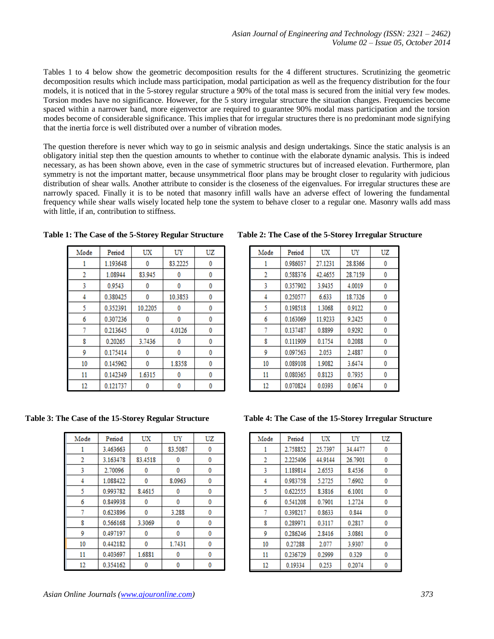Tables 1 to 4 below show the geometric decomposition results for the 4 different structures. Scrutinizing the geometric decomposition results which include mass participation, modal participation as well as the frequency distribution for the four models, it is noticed that in the 5-storey regular structure a 90% of the total mass is secured from the initial very few modes. Torsion modes have no significance. However, for the 5 story irregular structure the situation changes. Frequencies become spaced within a narrower band, more eigenvector are required to guarantee 90% modal mass participation and the torsion modes become of considerable significance. This implies that for irregular structures there is no predominant mode signifying that the inertia force is well distributed over a number of vibration modes.

The question therefore is never which way to go in seismic analysis and design undertakings. Since the static analysis is an obligatory initial step then the question amounts to whether to continue with the elaborate dynamic analysis. This is indeed necessary, as has been shown above, even in the case of symmetric structures but of increased elevation. Furthermore, plan symmetry is not the important matter, because unsymmetrical floor plans may be brought closer to regularity with judicious distribution of shear walls. Another attribute to consider is the closeness of the eigenvalues. For irregular structures these are narrowly spaced. Finally it is to be noted that masonry infill walls have an adverse effect of lowering the fundamental frequency while shear walls wisely located help tone the system to behave closer to a regular one. Masonry walls add mass with little, if an, contribution to stiffness.

| Mode | Period   | UX      | UY      | UZ |
|------|----------|---------|---------|----|
| 1    | 1.193648 | 0       | 83.2225 | 0  |
| 2    | 1.08944  | 83.945  | 0       | 0  |
| 3    | 0.9543   | 0       | 0       | 0  |
| 4    | 0.380425 | 0       | 10.3853 | 0  |
| 5    | 0.352391 | 10.2205 | 0       | 0  |
| 6    | 0.307236 | 0       | 0       | 0  |
| 7    | 0.213645 | 0       | 4.0126  | 0  |
| 8    | 0.20265  | 3.7436  | 0       | 0  |
| 9    | 0.175414 | 0       | 0       | 0  |
| 10   | 0.145962 | 0       | 1.8358  | 0  |
| 11   | 0.142349 | 1.6315  | 0       | 0  |
| 12   | 0.121737 |         | 0       | 0  |

**Table 1: The Case of the 5-Storey Regular Structure Table 2: The Case of the 5-Storey Irregular Structure**

| Mode | Period   | UX      | UY      | UZ |
|------|----------|---------|---------|----|
|      | 0.986037 | 27.1231 | 28.8366 | 0  |
| 2    | 0.588376 | 42.4655 | 28.7159 | 0  |
| 3    | 0.357902 | 3.9435  | 4.0019  | 0  |
| 4    | 0.250577 | 6.633   | 18.7326 | 0  |
| 5    | 0.198518 | 1.3068  | 0.9122  | 0  |
| 6    | 0.163069 | 11.9233 | 9.2425  | 0  |
| 7    | 0.137487 | 0.8899  | 0.9292  | 0  |
| 8    | 0.111909 | 0.1754  | 0.2088  | 0  |
| 9    | 0.097563 | 2.053   | 2.4887  | 0  |
| 10   | 0.089108 | 1.9082  | 3.6474  | 0  |
| 11   | 0.080365 | 0.8123  | 0.7935  | Ō  |
| 12   | 0.070824 | 0.0393  | 0.0674  | Λ  |

| Mode | Period   | UX      | UY      | UZ |
|------|----------|---------|---------|----|
| 1    | 3.463663 | 0       | 83.5087 | 0  |
| 2    | 3.163478 | 83.4518 | 0       | 0  |
| 3    | 2.70096  | 0       | 0       | 0  |
| 4    | 1.088422 | 0       | 8.0963  | 0  |
| 5    | 0.993782 | 8.4615  | 0       | 0  |
| 6    | 0.849938 | 0       | 0       | 0  |
| 7    | 0.623896 | 0       | 3.288   | 0  |
| 8    | 0.566168 | 3.3069  | 0       | 0  |
| 9    | 0.497197 | 0       | 0       | 0  |
| 10   | 0.442182 | 0       | 1.7431  | 0  |
| 11   | 0.403697 | 1.6881  | 0       | 0  |
| 12   | 0.354162 |         | ٥       | 0  |

**Table 3: The Case of the 15-Storey Regular Structure Table 4: The Case of the 15-Storey Irregular Structure**

| Mode | Period   | UX      | UY      | UZ |
|------|----------|---------|---------|----|
| ı    | 2.758852 | 25.7397 | 34.4477 | 0  |
| 2    | 2.225406 | 44.9144 | 26.7901 | 0  |
| 3    | 1.189814 | 2.6553  | 8.4536  | 0  |
| 4    | 0.983758 | 5.2725  | 7.6902  | 0  |
| 5    | 0.622555 | 8.3816  | 6.1001  | 0  |
| 6    | 0.541208 | 0.7901  | 1.2724  | 0  |
| 7    | 0.398217 | 0.8633  | 0.844   | 0  |
| 8    | 0.289971 | 0.3117  | 0.2817  | 0  |
| 9    | 0.286246 | 2.8416  | 3.0861  | 0  |
| 10   | 0.27288  | 2.077   | 3.9307  | 0  |
| 11   | 0.236729 | 0.2999  | 0.329   | 0  |
| 12   | 0.19334  | 0.253   | 0.2074  | ٥  |
|      |          |         |         |    |